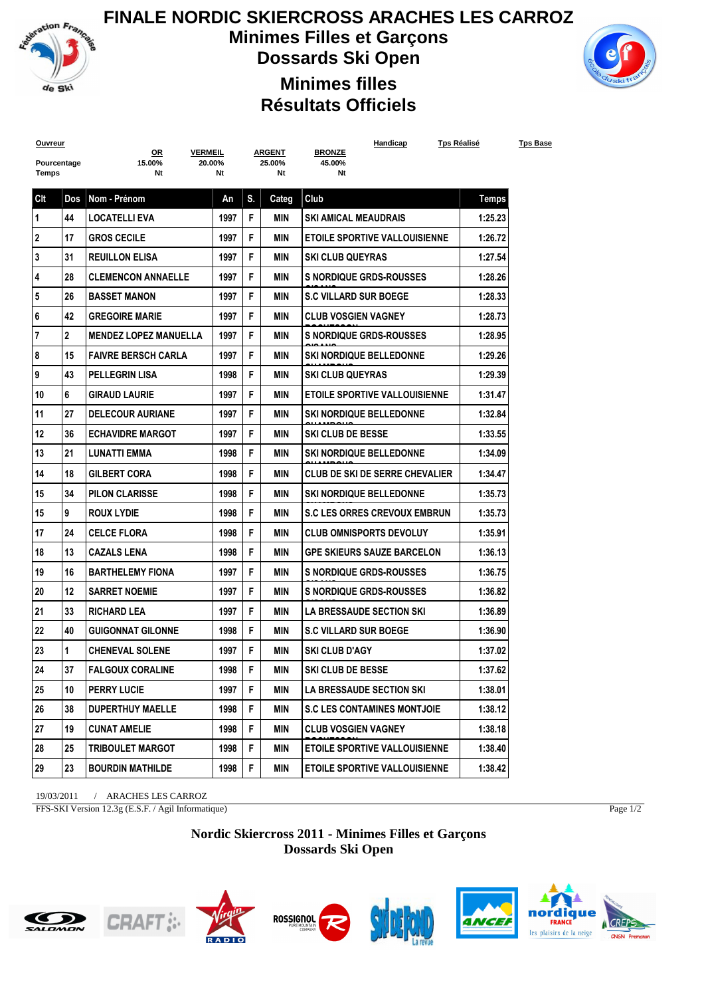

## **FINALE NORDIC SKIERCROSS ARACHES LES CARROZ Minimes Filles et Garçons Dossards Ski Open Minimes filles**



## **Résultats Officiels**

| <b>Ouvreur</b> |                | <b>VERMEIL</b>               |        |    |                         | Handicap<br><b>BRONZE</b>            | <u>Tps Réalisé</u> | <u>Tps Base</u> |
|----------------|----------------|------------------------------|--------|----|-------------------------|--------------------------------------|--------------------|-----------------|
| Pourcentage    |                | <u>OR</u><br>15.00%          | 20.00% |    | <u>ARGENT</u><br>25.00% | 45.00%                               |                    |                 |
| Temps          |                | Nt                           | Nt     |    | Nt                      | Nt                                   |                    |                 |
| Clt            | Dos            | Nom - Prénom                 | An     | S. | Categ                   | Club                                 | <b>Temps</b>       |                 |
| 1              | 44             | <b>LOCATELLI EVA</b>         | 1997   | F  | MIN                     | <b>SKI AMICAL MEAUDRAIS</b>          | 1:25.23            |                 |
| 2              | 17             | <b>GROS CECILE</b>           | 1997   | F  | MIN                     | <b>ETOILE SPORTIVE VALLOUISIENNE</b> | 1:26.72            |                 |
| 3              | 31             | <b>REUILLON ELISA</b>        | 1997   | F  | MIN                     | <b>SKI CLUB QUEYRAS</b>              | 1:27.54            |                 |
| 4              | 28             | <b>CLEMENCON ANNAELLE</b>    | 1997   | F  | MIN                     | <b>S NORDIQUE GRDS-ROUSSES</b>       | 1:28.26            |                 |
| 5              | 26             | <b>BASSET MANON</b>          | 1997   | F  | MIN                     | <b>S.C VILLARD SUR BOEGE</b>         | 1:28.33            |                 |
| 6              | 42             | <b>GREGOIRE MARIE</b>        | 1997   | F  | MIN                     | <b>CLUB VOSGIEN VAGNEY</b>           | 1:28.73            |                 |
| 7              | $\overline{2}$ | <b>MENDEZ LOPEZ MANUELLA</b> | 1997   | F  | MIN                     | <b>S NORDIQUE GRDS-ROUSSES</b>       | 1:28.95            |                 |
| 8              | 15             | <b>FAIVRE BERSCH CARLA</b>   | 1997   | F  | MIN                     | <b>SKI NORDIQUE BELLEDONNE</b>       | 1:29.26            |                 |
| 9              | 43             | <b>PELLEGRIN LISA</b>        | 1998   | F  | MIN                     | <b>SKI CLUB QUEYRAS</b>              | 1:29.39            |                 |
| 10             | 6              | <b>GIRAUD LAURIE</b>         | 1997   | F  | <b>MIN</b>              | <b>ETOILE SPORTIVE VALLOUISIENNE</b> | 1:31.47            |                 |
| 11             | 27             | <b>DELECOUR AURIANE</b>      | 1997   | F  | MIN                     | SKI NORDIQUE BELLEDONNE              | 1:32.84            |                 |
| 12             | 36             | <b>ECHAVIDRE MARGOT</b>      | 1997   | F  | MIN                     | <b>SKI CLUB DE BESSE</b>             | 1:33.55            |                 |
| 13             | 21             | <b>LUNATTI EMMA</b>          | 1998   | F  | MIN                     | <b>SKI NORDIQUE BELLEDONNE</b>       | 1:34.09            |                 |
| 14             | 18             | <b>GILBERT CORA</b>          | 1998   | F  | MIN                     | CLUB DE SKI DE SERRE CHEVALIER       | 1:34.47            |                 |
| 15             | 34             | <b>PILON CLARISSE</b>        | 1998   | F  | MIN                     | <b>SKI NORDIQUE BELLEDONNE</b>       | 1:35.73            |                 |
| 15             | 9              | <b>ROUX LYDIE</b>            | 1998   | F  | MIN                     | <b>S.C LES ORRES CREVOUX EMBRUN</b>  | 1:35.73            |                 |
| 17             | 24             | <b>CELCE FLORA</b>           | 1998   | F  | MIN                     | <b>CLUB OMNISPORTS DEVOLUY</b>       | 1:35.91            |                 |
| 18             | 13             | <b>CAZALS LENA</b>           | 1998   | F  | MIN                     | <b>GPE SKIEURS SAUZE BARCELON</b>    | 1:36.13            |                 |
| 19             | 16             | <b>BARTHELEMY FIONA</b>      | 1997   | F  | MIN                     | <b>S NORDIQUE GRDS-ROUSSES</b>       | 1:36.75            |                 |
| 20             | 12             | <b>SARRET NOEMIE</b>         | 1997   | F  | MIN                     | <b>S NORDIQUE GRDS-ROUSSES</b>       | 1:36.82            |                 |
| 21             | 33             | <b>RICHARD LEA</b>           | 1997   | F  | MIN                     | LA BRESSAUDE SECTION SKI             | 1:36.89            |                 |
| 22             | 40             | <b>GUIGONNAT GILONNE</b>     | 1998   | F  | MIN                     | <b>S.C VILLARD SUR BOEGE</b>         | 1:36.90            |                 |
| 23             | 1              | <b>CHENEVAL SOLENE</b>       | 1997   | F  | MIN                     | <b>SKI CLUB D'AGY</b>                | 1:37.02            |                 |
| 24             | 37             | <b>FALGOUX CORALINE</b>      | 1998   | F  | <b>MIN</b>              | SKI CLUB DE BESSE                    | 1:37.62            |                 |
| 25             | 10             | <b>PERRY LUCIE</b>           | 1997   | F  | MIN                     | <b>LA BRESSAUDE SECTION SKI</b>      | 1:38.01            |                 |
| 26             | 38             | <b>DUPERTHUY MAELLE</b>      | 1998   | F  | MIN                     | <b>S.C LES CONTAMINES MONTJOIE</b>   | 1:38.12            |                 |
| 27             | 19             | <b>CUNAT AMELIE</b>          | 1998   | F  | MIN                     | <b>CLUB VOSGIEN VAGNEY</b>           | 1:38.18            |                 |
| 28             | 25             | <b>TRIBOULET MARGOT</b>      | 1998   | F  | MIN                     | <b>ETOILE SPORTIVE VALLOUISIENNE</b> | 1:38.40            |                 |
| 29             | 23             | <b>BOURDIN MATHILDE</b>      | 1998   | F  | MIN                     | <b>ETOILE SPORTIVE VALLOUISIENNE</b> | 1:38.42            |                 |

19/03/2011 / ARACHES LES CARROZ

FFS-SKI Version 12.3g (E.S.F. / Agil Informatique)

Page 1/2

## **Nordic Skiercross 2011 - Minimes Filles et Garçons Dossards Ski Open**